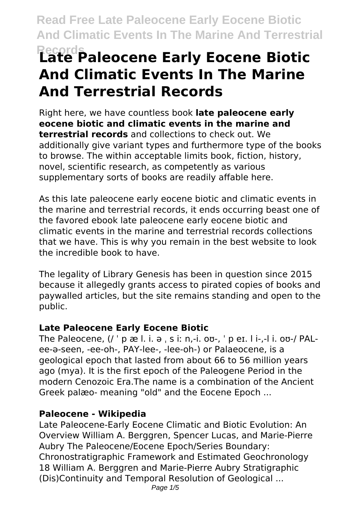**Read Free Late Paleocene Early Eocene Biotic And Climatic Events In The Marine And Terrestrial**

# **Records Late Paleocene Early Eocene Biotic And Climatic Events In The Marine And Terrestrial Records**

Right here, we have countless book **late paleocene early eocene biotic and climatic events in the marine and terrestrial records** and collections to check out. We additionally give variant types and furthermore type of the books to browse. The within acceptable limits book, fiction, history, novel, scientific research, as competently as various supplementary sorts of books are readily affable here.

As this late paleocene early eocene biotic and climatic events in the marine and terrestrial records, it ends occurring beast one of the favored ebook late paleocene early eocene biotic and climatic events in the marine and terrestrial records collections that we have. This is why you remain in the best website to look the incredible book to have.

The legality of Library Genesis has been in question since 2015 because it allegedly grants access to pirated copies of books and paywalled articles, but the site remains standing and open to the public.

#### **Late Paleocene Early Eocene Biotic**

The Paleocene, (/ ˈ p æ l. i. ə ˌ s iː n,-i. oʊ-, ˈ p eɪ. l i-,-l i. oʊ-/ PALee-ə-seen, -ee-oh-, PAY-lee-, -lee-oh-) or Palaeocene, is a geological epoch that lasted from about 66 to 56 million years ago (mya). It is the first epoch of the Paleogene Period in the modern Cenozoic Era.The name is a combination of the Ancient Greek palæo- meaning "old" and the Eocene Epoch ...

#### **Paleocene - Wikipedia**

Late Paleocene-Early Eocene Climatic and Biotic Evolution: An Overview William A. Berggren, Spencer Lucas, and Marie-Pierre Aubry The Paleocene/Eocene Epoch/Series Boundary: Chronostratigraphic Framework and Estimated Geochronology 18 William A. Berggren and Marie-Pierre Aubry Stratigraphic (Dis)Continuity and Temporal Resolution of Geological ...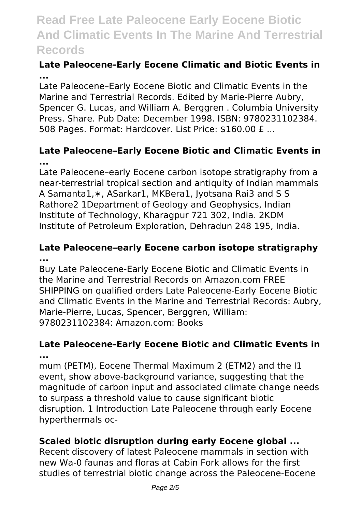### **Read Free Late Paleocene Early Eocene Biotic And Climatic Events In The Marine And Terrestrial Records**

#### **Late Paleocene-Early Eocene Climatic and Biotic Events in ...**

Late Paleocene–Early Eocene Biotic and Climatic Events in the Marine and Terrestrial Records. Edited by Marie-Pierre Aubry, Spencer G. Lucas, and William A. Berggren . Columbia University Press. Share. Pub Date: December 1998. ISBN: 9780231102384. 508 Pages. Format: Hardcover. List Price: \$160.00 £ ...

#### **Late Paleocene–Early Eocene Biotic and Climatic Events in ...**

Late Paleocene–early Eocene carbon isotope stratigraphy from a near-terrestrial tropical section and antiquity of Indian mammals A Samanta1,∗, ASarkar1, MKBera1, Jyotsana Rai3 and S S Rathore2 1Department of Geology and Geophysics, Indian Institute of Technology, Kharagpur 721 302, India. 2KDM Institute of Petroleum Exploration, Dehradun 248 195, India.

#### **Late Paleocene–early Eocene carbon isotope stratigraphy ...**

Buy Late Paleocene-Early Eocene Biotic and Climatic Events in the Marine and Terrestrial Records on Amazon.com FREE SHIPPING on qualified orders Late Paleocene-Early Eocene Biotic and Climatic Events in the Marine and Terrestrial Records: Aubry, Marie-Pierre, Lucas, Spencer, Berggren, William: 9780231102384: Amazon.com: Books

#### **Late Paleocene-Early Eocene Biotic and Climatic Events in ...**

mum (PETM), Eocene Thermal Maximum 2 (ETM2) and the I1 event, show above-background variance, suggesting that the magnitude of carbon input and associated climate change needs to surpass a threshold value to cause significant biotic disruption. 1 Introduction Late Paleocene through early Eocene hyperthermals oc-

#### **Scaled biotic disruption during early Eocene global ...**

Recent discovery of latest Paleocene mammals in section with new Wa-0 faunas and floras at Cabin Fork allows for the first studies of terrestrial biotic change across the Paleocene-Eocene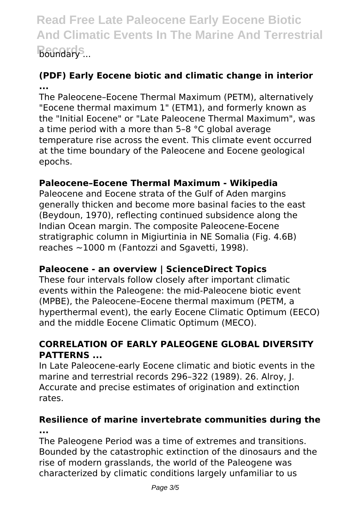**Read Free Late Paleocene Early Eocene Biotic And Climatic Events In The Marine And Terrestrial Reundary** ...

#### **(PDF) Early Eocene biotic and climatic change in interior ...**

The Paleocene–Eocene Thermal Maximum (PETM), alternatively "Eocene thermal maximum 1" (ETM1), and formerly known as the "Initial Eocene" or "Late Paleocene Thermal Maximum", was a time period with a more than 5–8 °C global average temperature rise across the event. This climate event occurred at the time boundary of the Paleocene and Eocene geological epochs.

#### **Paleocene–Eocene Thermal Maximum - Wikipedia**

Paleocene and Eocene strata of the Gulf of Aden margins generally thicken and become more basinal facies to the east (Beydoun, 1970), reflecting continued subsidence along the Indian Ocean margin. The composite Paleocene-Eocene stratigraphic column in Migiurtinia in NE Somalia (Fig. 4.6B) reaches ~1000 m (Fantozzi and Sgavetti, 1998).

#### **Paleocene - an overview | ScienceDirect Topics**

These four intervals follow closely after important climatic events within the Paleogene: the mid-Paleocene biotic event (MPBE), the Paleocene–Eocene thermal maximum (PETM, a hyperthermal event), the early Eocene Climatic Optimum (EECO) and the middle Eocene Climatic Optimum (MECO).

#### **CORRELATION OF EARLY PALEOGENE GLOBAL DIVERSITY PATTERNS ...**

In Late Paleocene-early Eocene climatic and biotic events in the marine and terrestrial records 296–322 (1989). 26. Alroy, J. Accurate and precise estimates of origination and extinction rates.

#### **Resilience of marine invertebrate communities during the ...**

The Paleogene Period was a time of extremes and transitions. Bounded by the catastrophic extinction of the dinosaurs and the rise of modern grasslands, the world of the Paleogene was characterized by climatic conditions largely unfamiliar to us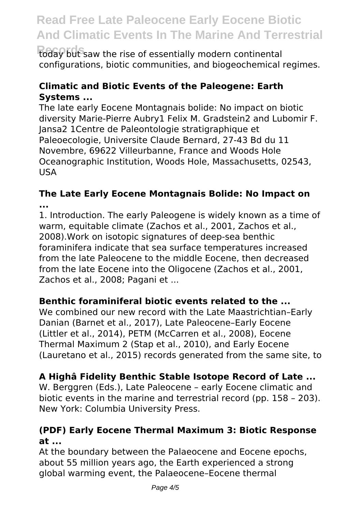## **Read Free Late Paleocene Early Eocene Biotic And Climatic Events In The Marine And Terrestrial**

today but saw the rise of essentially modern continental configurations, biotic communities, and biogeochemical regimes.

#### **Climatic and Biotic Events of the Paleogene: Earth Systems ...**

The late early Eocene Montagnais bolide: No impact on biotic diversity Marie-Pierre Aubry1 Felix M. Gradstein2 and Lubomir F. Jansa2 1Centre de Paleontologie stratigraphique et Paleoecologie, Universite Claude Bernard, 27-43 Bd du 11 Novembre, 69622 Villeurbanne, France and Woods Hole Oceanographic Institution, Woods Hole, Massachusetts, 02543, USA

#### **The Late Early Eocene Montagnais Bolide: No Impact on ...**

1. Introduction. The early Paleogene is widely known as a time of warm, equitable climate (Zachos et al., 2001, Zachos et al., 2008).Work on isotopic signatures of deep-sea benthic foraminifera indicate that sea surface temperatures increased from the late Paleocene to the middle Eocene, then decreased from the late Eocene into the Oligocene (Zachos et al., 2001, Zachos et al., 2008; Pagani et ...

#### **Benthic foraminiferal biotic events related to the ...**

We combined our new record with the Late Maastrichtian–Early Danian (Barnet et al., 2017), Late Paleocene–Early Eocene (Littler et al., 2014), PETM (McCarren et al., 2008), Eocene Thermal Maximum 2 (Stap et al., 2010), and Early Eocene (Lauretano et al., 2015) records generated from the same site, to

#### **A Highâ Fidelity Benthic Stable Isotope Record of Late ...**

W. Berggren (Eds.), Late Paleocene – early Eocene climatic and biotic events in the marine and terrestrial record (pp. 158 – 203). New York: Columbia University Press.

#### **(PDF) Early Eocene Thermal Maximum 3: Biotic Response at ...**

At the boundary between the Palaeocene and Eocene epochs, about 55 million years ago, the Earth experienced a strong global warming event, the Palaeocene–Eocene thermal